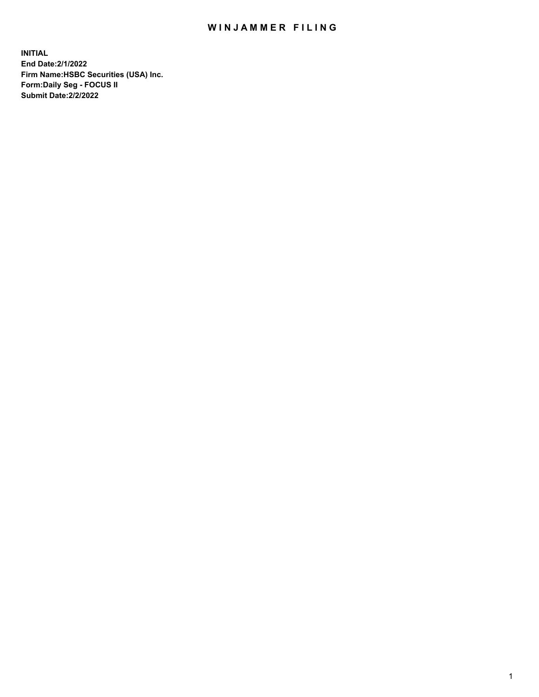## WIN JAMMER FILING

**INITIAL End Date:2/1/2022 Firm Name:HSBC Securities (USA) Inc. Form:Daily Seg - FOCUS II Submit Date:2/2/2022**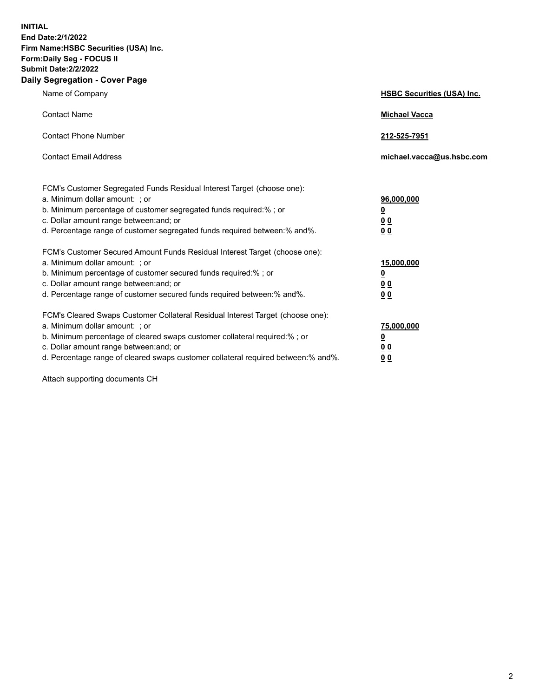**INITIAL End Date:2/1/2022 Firm Name:HSBC Securities (USA) Inc. Form:Daily Seg - FOCUS II Submit Date:2/2/2022 Daily Segregation - Cover Page**

| Name of Company                                                                                                                                                                                                                                                                                                                | <b>HSBC Securities (USA) Inc.</b>                             |
|--------------------------------------------------------------------------------------------------------------------------------------------------------------------------------------------------------------------------------------------------------------------------------------------------------------------------------|---------------------------------------------------------------|
| <b>Contact Name</b>                                                                                                                                                                                                                                                                                                            | <b>Michael Vacca</b>                                          |
| <b>Contact Phone Number</b>                                                                                                                                                                                                                                                                                                    | 212-525-7951                                                  |
| <b>Contact Email Address</b>                                                                                                                                                                                                                                                                                                   | michael.vacca@us.hsbc.com                                     |
| FCM's Customer Segregated Funds Residual Interest Target (choose one):<br>a. Minimum dollar amount: : or<br>b. Minimum percentage of customer segregated funds required:%; or<br>c. Dollar amount range between: and; or<br>d. Percentage range of customer segregated funds required between:% and%.                          | 96,000,000<br>$\overline{\mathbf{0}}$<br>0 <sub>0</sub><br>00 |
| FCM's Customer Secured Amount Funds Residual Interest Target (choose one):<br>a. Minimum dollar amount: ; or<br>b. Minimum percentage of customer secured funds required:%; or<br>c. Dollar amount range between: and; or<br>d. Percentage range of customer secured funds required between:% and%.                            | 15,000,000<br><u>0</u><br>0 <sub>0</sub><br>0 <sub>0</sub>    |
| FCM's Cleared Swaps Customer Collateral Residual Interest Target (choose one):<br>a. Minimum dollar amount: ; or<br>b. Minimum percentage of cleared swaps customer collateral required:% ; or<br>c. Dollar amount range between: and; or<br>d. Percentage range of cleared swaps customer collateral required between:% and%. | 75,000,000<br><u>0</u><br>00<br><u>00</u>                     |

Attach supporting documents CH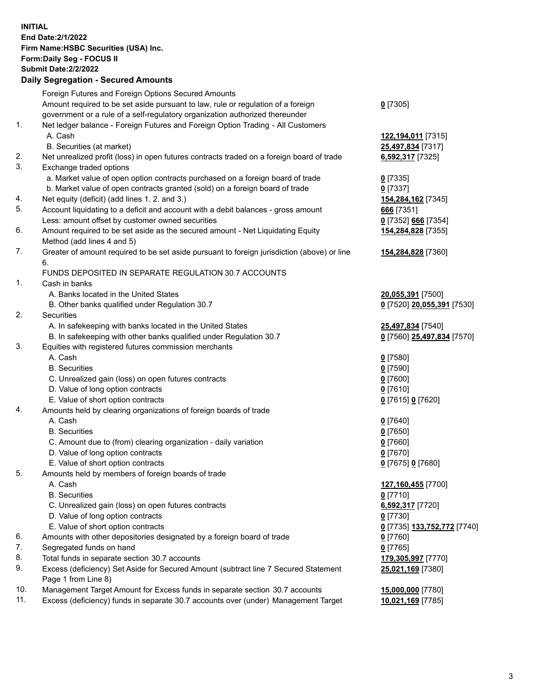**INITIAL End Date:2/1/2022 Firm Name:HSBC Securities (USA) Inc. Form:Daily Seg - FOCUS II Submit Date:2/2/2022 Daily Segregation - Secured Amounts** Foreign Futures and Foreign Options Secured Amounts Amount required to be set aside pursuant to law, rule or regulation of a foreign government or a rule of a self-regulatory organization authorized thereunder **0** [7305] 1. Net ledger balance - Foreign Futures and Foreign Option Trading - All Customers A. Cash **122,194,011** [7315] B. Securities (at market) **25,497,834** [7317] 2. Net unrealized profit (loss) in open futures contracts traded on a foreign board of trade **6,592,317** [7325] 3. Exchange traded options a. Market value of open option contracts purchased on a foreign board of trade **0** [7335] b. Market value of open contracts granted (sold) on a foreign board of trade **0** [7337] 4. Net equity (deficit) (add lines 1. 2. and 3.) **154,284,162** [7345] 5. Account liquidating to a deficit and account with a debit balances - gross amount **666** [7351] Less: amount offset by customer owned securities **0** [7352] **666** [7354] 6. Amount required to be set aside as the secured amount - Net Liquidating Equity Method (add lines 4 and 5) **154,284,828** [7355] 7. Greater of amount required to be set aside pursuant to foreign jurisdiction (above) or line 6. **154,284,828** [7360] FUNDS DEPOSITED IN SEPARATE REGULATION 30.7 ACCOUNTS 1. Cash in banks A. Banks located in the United States **20,055,391** [7500] B. Other banks qualified under Regulation 30.7 **0** [7520] **20,055,391** [7530] 2. Securities A. In safekeeping with banks located in the United States **25,497,834** [7540] B. In safekeeping with other banks qualified under Regulation 30.7 **0** [7560] **25,497,834** [7570] 3. Equities with registered futures commission merchants A. Cash **0** [7580] B. Securities **0** [7590] C. Unrealized gain (loss) on open futures contracts **0** [7600] D. Value of long option contracts **0** [7610] E. Value of short option contracts **0** [7615] **0** [7620] 4. Amounts held by clearing organizations of foreign boards of trade A. Cash **0** [7640] B. Securities **0** [7650] C. Amount due to (from) clearing organization - daily variation **0** [7660] D. Value of long option contracts **0** [7670] E. Value of short option contracts **0** [7675] **0** [7680] 5. Amounts held by members of foreign boards of trade A. Cash **127,160,455** [7700] B. Securities **0** [7710] C. Unrealized gain (loss) on open futures contracts **6,592,317** [7720] D. Value of long option contracts **0** [7730] E. Value of short option contracts **0** [7735] **133,752,772** [7740] 6. Amounts with other depositories designated by a foreign board of trade **0** [7760] 7. Segregated funds on hand **0** [7765] 8. Total funds in separate section 30.7 accounts **179,305,997** [7770] 9. Excess (deficiency) Set Aside for Secured Amount (subtract line 7 Secured Statement Page 1 from Line 8) **25,021,169** [7380] 10. Management Target Amount for Excess funds in separate section 30.7 accounts **15,000,000** [7780]

11. Excess (deficiency) funds in separate 30.7 accounts over (under) Management Target **10,021,169** [7785]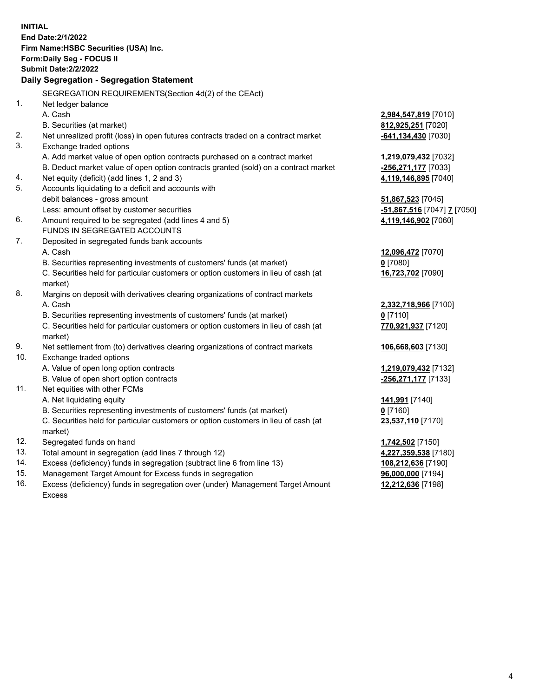|     | <b>INITIAL</b>                                                                      |                                                       |
|-----|-------------------------------------------------------------------------------------|-------------------------------------------------------|
|     | End Date: 2/1/2022                                                                  |                                                       |
|     | Firm Name: HSBC Securities (USA) Inc.                                               |                                                       |
|     | <b>Form:Daily Seg - FOCUS II</b>                                                    |                                                       |
|     | <b>Submit Date: 2/2/2022</b>                                                        |                                                       |
|     | Daily Segregation - Segregation Statement                                           |                                                       |
|     | SEGREGATION REQUIREMENTS (Section 4d(2) of the CEAct)                               |                                                       |
| 1.  | Net ledger balance                                                                  |                                                       |
|     | A. Cash                                                                             | 2,984,547,819 [7010]                                  |
|     | B. Securities (at market)                                                           | 812,925,251 [7020]                                    |
| 2.  | Net unrealized profit (loss) in open futures contracts traded on a contract market  | -641,134,430 [7030]                                   |
| 3.  | Exchange traded options                                                             |                                                       |
|     | A. Add market value of open option contracts purchased on a contract market         | <u>1,219,079,432</u> [7032]                           |
|     | B. Deduct market value of open option contracts granted (sold) on a contract market | -256,271,177 [7033]                                   |
| 4.  | Net equity (deficit) (add lines 1, 2 and 3)                                         | 4,119,146,895 [7040]                                  |
| 5.  | Accounts liquidating to a deficit and accounts with                                 |                                                       |
|     | debit balances - gross amount                                                       | <u>51,867,523</u> [7045]                              |
|     | Less: amount offset by customer securities                                          | <mark>-51,867,516</mark> [7047] <mark>7</mark> [7050] |
| 6.  | Amount required to be segregated (add lines 4 and 5)                                | 4,119,146,902 [7060]                                  |
|     | FUNDS IN SEGREGATED ACCOUNTS                                                        |                                                       |
| 7.  | Deposited in segregated funds bank accounts                                         |                                                       |
|     | A. Cash                                                                             | 12,096,472 [7070]                                     |
|     | B. Securities representing investments of customers' funds (at market)              | $0$ [7080]                                            |
|     | C. Securities held for particular customers or option customers in lieu of cash (at | 16,723,702 [7090]                                     |
|     | market)                                                                             |                                                       |
| 8.  | Margins on deposit with derivatives clearing organizations of contract markets      |                                                       |
|     | A. Cash                                                                             | 2,332,718,966 [7100]                                  |
|     | B. Securities representing investments of customers' funds (at market)              | $0$ [7110]                                            |
|     | C. Securities held for particular customers or option customers in lieu of cash (at | 770,921,937 [7120]                                    |
|     | market)                                                                             |                                                       |
| 9.  | Net settlement from (to) derivatives clearing organizations of contract markets     | 106,668,603 [7130]                                    |
| 10. | Exchange traded options                                                             |                                                       |
|     | A. Value of open long option contracts                                              | 1,219,079,432 [7132]                                  |
|     | B. Value of open short option contracts                                             | -256,271,177 [7133]                                   |
| 11. | Net equities with other FCMs                                                        |                                                       |
|     | A. Net liquidating equity                                                           | <u>141,991</u> [7140]                                 |
|     | B. Securities representing investments of customers' funds (at market)              | $0$ [7160]                                            |
|     | C. Securities held for particular customers or option customers in lieu of cash (at | 23,537,110 [7170]                                     |
|     | market)                                                                             |                                                       |
| 12. | Segregated funds on hand                                                            | 1,742,502 [7150]                                      |
| 13. | Total amount in segregation (add lines 7 through 12)                                | 4,227,359,538 [7180]                                  |
| 14. | Excess (deficiency) funds in segregation (subtract line 6 from line 13)             | 108,212,636 [7190]                                    |
| 15. | Management Target Amount for Excess funds in segregation                            | 96,000,000 [7194]                                     |

16. Excess (deficiency) funds in segregation over (under) Management Target Amount Excess

**12,212,636** [7198]